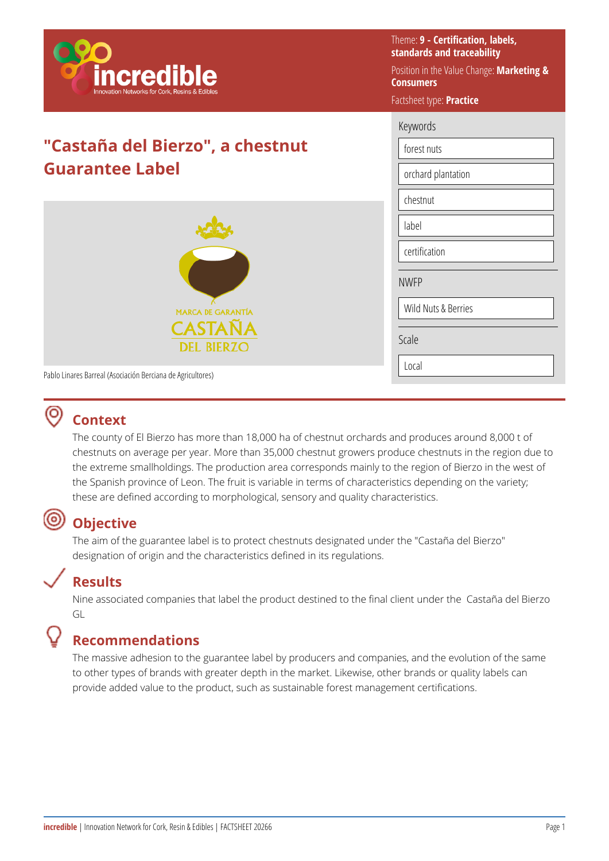

# **"Castaña del Bierzo", a chestnut Guarantee Label**



Theme: **9 - Certification, labels, standards and traceability** 

Position in the Value Change: **Marketing & Consumers** 

### Factsheet type: **Practice**

| Keywords |
|----------|
|----------|

forest nuts

orchard plantation

chestnut

label

certification

NWFP

Wild Nuts & Berries

Scale

Local

Pablo Linares Barreal (Asociación Berciana de Agricultores)

## **Context**

The county of El Bierzo has more than 18,000 ha of chestnut orchards and produces around 8,000 t of chestnuts on average per year. More than 35,000 chestnut growers produce chestnuts in the region due to the extreme smallholdings. The production area corresponds mainly to the region of Bierzo in the west of the Spanish province of Leon. The fruit is variable in terms of characteristics depending on the variety; these are defined according to morphological, sensory and quality characteristics.

#### (ම) **Objective**

The aim of the guarantee label is to protect chestnuts designated under the "Castaña del Bierzo" designation of origin and the characteristics defined in its regulations.

## **Results**

Nine associated companies that label the product destined to the final client under the Castaña del Bierzo GL

# **Recommendations**

The massive adhesion to the guarantee label by producers and companies, and the evolution of the same to other types of brands with greater depth in the market. Likewise, other brands or quality labels can provide added value to the product, such as sustainable forest management certifications.